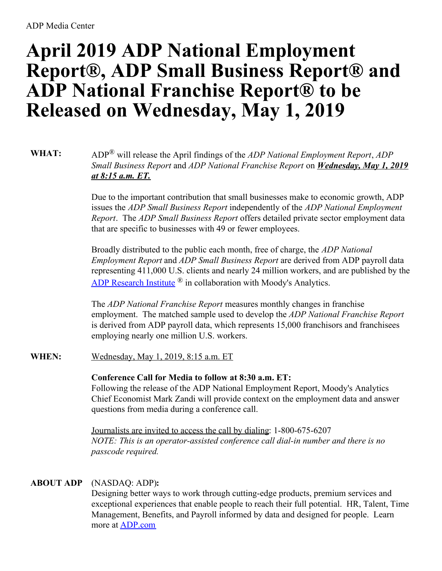# **April 2019 ADP National Employment Report®, ADP Small Business Report® and ADP National Franchise Report® to be Released on Wednesday, May 1, 2019**

**WHAT:** ADP® will release the April findings of the *ADP National Employment Report*, *ADP Small Business Report* and *ADP National Franchise Report* on *Wednesday, May 1, 2019 at 8:15 a.m. ET.*

> Due to the important contribution that small businesses make to economic growth, ADP issues the *ADP Small Business Report* independently of the *ADP National Employment Report*. The *ADP Small Business Report* offers detailed private sector employment data that are specific to businesses with 49 or fewer employees.

Broadly distributed to the public each month, free of charge, the *ADP National Employment Report* and *ADP Small Business Report* are derived from ADP payroll data representing 411,000 U.S. clients and nearly 24 million workers, and are published by the ADP [Research](https://c212.net/c/link/?t=0&l=en&o=2444225-1&h=1205355029&u=http%3A%2F%2Fwww.adp.com%2Ftools-and-resources%2Fadp-research-institute.aspx&a=ADP+Research+Institute) Institute ® in collaboration with Moody's Analytics.

The *ADP National Franchise Report* measures monthly changes in franchise employment. The matched sample used to develop the *ADP National Franchise Report* is derived from ADP payroll data, which represents 15,000 franchisors and franchisees employing nearly one million U.S. workers.

## **WHEN:** Wednesday, May 1, 2019, 8:15 a.m. ET

## **Conference Call for Media to follow at 8:30 a.m. ET:**

Following the release of the ADP National Employment Report, Moody's Analytics Chief Economist Mark Zandi will provide context on the employment data and answer questions from media during a conference call.

Journalists are invited to access the call by dialing: 1-800-675-6207 *NOTE: This is an operator-assisted conference call dial-in number and there is no passcode required.*

## **ABOUT ADP** (NASDAQ: ADP)**:**

Designing better ways to work through cutting-edge products, premium services and exceptional experiences that enable people to reach their full potential. HR, Talent, Time Management, Benefits, and Payroll informed by data and designed for people. Learn more at [ADP.com](https://c212.net/c/link/?t=0&l=en&o=2444225-1&h=3459911131&u=http%3A%2F%2Fadp.com%2F&a=ADP.com)